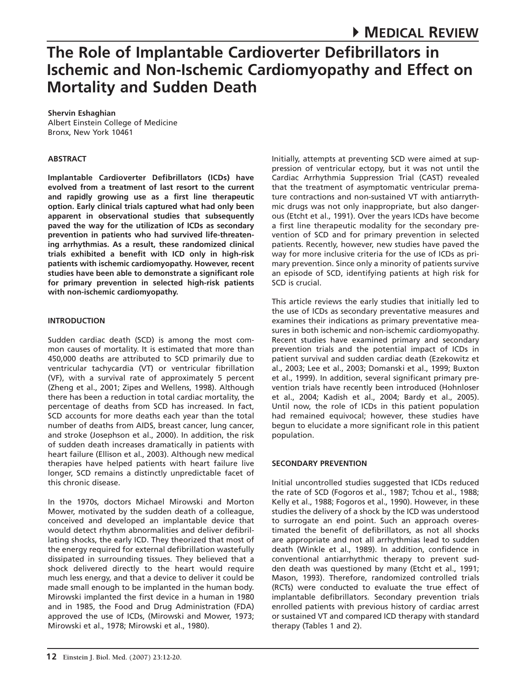**Shervin Eshaghian** Albert Einstein College of Medicine Bronx, New York 10461

#### **ABSTRACT**

**Implantable Cardioverter Defibrillators (ICDs) have evolved from a treatment of last resort to the current and rapidly growing use as a first line therapeutic option. Early clinical trials captured what had only been apparent in observational studies that subsequently paved the way for the utilization of ICDs as secondary prevention in patients who had survived life-threatening arrhythmias. As a result, these randomized clinical trials exhibited a benefit with ICD only in high-risk patients with ischemic cardiomyopathy. However, recent studies have been able to demonstrate a significant role for primary prevention in selected high-risk patients with non-ischemic cardiomyopathy.** 

## **INTRODUCTION**

Sudden cardiac death (SCD) is among the most common causes of mortality. It is estimated that more than 450,000 deaths are attributed to SCD primarily due to ventricular tachycardia (VT) or ventricular fibrillation (VF), with a survival rate of approximately 5 percent (Zheng et al., 2001; Zipes and Wellens, 1998). Although there has been a reduction in total cardiac mortality, the percentage of deaths from SCD has increased. In fact, SCD accounts for more deaths each year than the total number of deaths from AIDS, breast cancer, lung cancer, and stroke (Josephson et al., 2000). In addition, the risk of sudden death increases dramatically in patients with heart failure (Ellison et al., 2003). Although new medical therapies have helped patients with heart failure live longer, SCD remains a distinctly unpredictable facet of this chronic disease.

In the 1970s, doctors Michael Mirowski and Morton Mower, motivated by the sudden death of a colleague, conceived and developed an implantable device that would detect rhythm abnormalities and deliver defibrillating shocks, the early ICD. They theorized that most of the energy required for external defibrillation wastefully dissipated in surrounding tissues. They believed that a shock delivered directly to the heart would require much less energy, and that a device to deliver it could be made small enough to be implanted in the human body. Mirowski implanted the first device in a human in 1980 and in 1985, the Food and Drug Administration (FDA) approved the use of ICDs, (Mirowski and Mower, 1973; Mirowski et al., 1978; Mirowski et al., 1980).

Initially, attempts at preventing SCD were aimed at suppression of ventricular ectopy, but it was not until the Cardiac Arrhythmia Suppression Trial (CAST) revealed that the treatment of asymptomatic ventricular premature contractions and non-sustained VT with antiarrythmic drugs was not only inappropriate, but also dangerous (Etcht et al., 1991). Over the years ICDs have become a first line therapeutic modality for the secondary prevention of SCD and for primary prevention in selected patients. Recently, however, new studies have paved the way for more inclusive criteria for the use of ICDs as primary prevention. Since only a minority of patients survive an episode of SCD, identifying patients at high risk for SCD is crucial.

This article reviews the early studies that initially led to the use of ICDs as secondary preventative measures and examines their indications as primary preventative measures in both ischemic and non-ischemic cardiomyopathy. Recent studies have examined primary and secondary prevention trials and the potential impact of ICDs in patient survival and sudden cardiac death (Ezekowitz et al., 2003; Lee et al., 2003; Domanski et al., 1999; Buxton et al., 1999). In addition, several significant primary prevention trials have recently been introduced (Hohnloser et al., 2004; Kadish et al., 2004; Bardy et al., 2005). Until now, the role of ICDs in this patient population had remained equivocal; however, these studies have begun to elucidate a more significant role in this patient population.

# **Secondary prevention**

Initial uncontrolled studies suggested that ICDs reduced the rate of SCD (Fogoros et al., 1987; Tchou et al., 1988; Kelly et al., 1988; Fogoros et al., 1990). However, in these studies the delivery of a shock by the ICD was understood to surrogate an end point. Such an approach overestimated the benefit of defibrillators, as not all shocks are appropriate and not all arrhythmias lead to sudden death (Winkle et al., 1989). In addition, confidence in conventional antiarrhythmic therapy to prevent sudden death was questioned by many (Etcht et al., 1991; Mason, 1993). Therefore, randomized controlled trials (RCTs) were conducted to evaluate the true effect of implantable defibrillators. Secondary prevention trials enrolled patients with previous history of cardiac arrest or sustained VT and compared ICD therapy with standard therapy (Tables 1 and 2).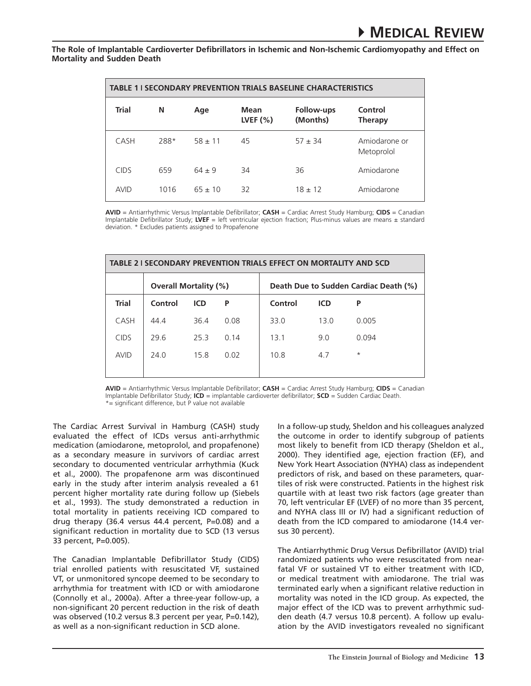| <b>TABLE 1   SECONDARY PREVENTION TRIALS BASELINE CHARACTERISTICS</b> |      |           |                    |                        |                             |  |  |
|-----------------------------------------------------------------------|------|-----------|--------------------|------------------------|-----------------------------|--|--|
| <b>Trial</b>                                                          | N    | Age       | Mean<br>LVEF $(%)$ | Follow-ups<br>(Months) | Control<br><b>Therapy</b>   |  |  |
| CASH                                                                  | 288* | $58 + 11$ | 45                 | $57 \pm 34$            | Amiodarone or<br>Metoprolol |  |  |
| <b>CIDS</b>                                                           | 659  | $64 + 9$  | 34                 | 36                     | Amiodarone                  |  |  |
| <b>AVID</b>                                                           | 1016 | $65 + 10$ | 32                 | $18 + 12$              | Amiodarone                  |  |  |

**AVID** = Antiarrhythmic Versus Implantable Defibrillator; **CASH** = Cardiac Arrest Study Hamburg; **CIDS** = Canadian Implantable Defibrillator Study; **LVEF** = left ventricular ejection fraction; Plus-minus values are means ± standard deviation. \* Excludes patients assigned to Propafenone

| TABLE 2 I SECONDARY PREVENTION TRIALS EFFECT ON MORTALITY AND SCD |                              |            |      |                                       |            |          |  |  |
|-------------------------------------------------------------------|------------------------------|------------|------|---------------------------------------|------------|----------|--|--|
|                                                                   | <b>Overall Mortality (%)</b> |            |      | Death Due to Sudden Cardiac Death (%) |            |          |  |  |
| <b>Trial</b>                                                      | Control                      | <b>ICD</b> | P    | Control                               | <b>ICD</b> | P        |  |  |
| CASH                                                              | 44.4                         | 364        | 0.08 | 33.0                                  | 13.0       | 0.005    |  |  |
| <b>CIDS</b>                                                       | 296                          | 253        | 0.14 | 13.1                                  | 9.0        | 0.094    |  |  |
| <b>AVID</b>                                                       | 24 Q                         | 15.8       | 0.02 | 10.8                                  | 4.7        | $^\star$ |  |  |
|                                                                   |                              |            |      |                                       |            |          |  |  |

**AVID** = Antiarrhythmic Versus Implantable Defibrillator; **CASH** = Cardiac Arrest Study Hamburg; **CIDS** = Canadian Implantable Defibrillator Study; **ICD** = implantable cardioverter defibrillator; **SCD** = Sudden Cardiac Death. \*= significant difference, but P value not available

The Cardiac Arrest Survival in Hamburg (CASH) study evaluated the effect of ICDs versus anti-arrhythmic medication (amiodarone, metoprolol, and propafenone) as a secondary measure in survivors of cardiac arrest secondary to documented ventricular arrhythmia (Kuck et al., 2000). The propafenone arm was discontinued early in the study after interim analysis revealed a 61 percent higher mortality rate during follow up (Siebels et al., 1993). The study demonstrated a reduction in total mortality in patients receiving ICD compared to drug therapy (36.4 versus 44.4 percent, P=0.08) and a significant reduction in mortality due to SCD (13 versus 33 percent, P=0.005).

The Canadian Implantable Defibrillator Study (CIDS) trial enrolled patients with resuscitated VF, sustained VT, or unmonitored syncope deemed to be secondary to arrhythmia for treatment with ICD or with amiodarone (Connolly et al., 2000a). After a three-year follow-up, a non-significant 20 percent reduction in the risk of death was observed (10.2 versus 8.3 percent per year, P=0.142), as well as a non-significant reduction in SCD alone.

In a follow-up study, Sheldon and his colleagues analyzed the outcome in order to identify subgroup of patients most likely to benefit from ICD therapy (Sheldon et al., 2000). They identified age, ejection fraction (EF), and New York Heart Association (NYHA) class as independent predictors of risk, and based on these parameters, quartiles of risk were constructed. Patients in the highest risk quartile with at least two risk factors (age greater than 70, left ventricular EF (LVEF) of no more than 35 percent, and NYHA class III or IV) had a significant reduction of death from the ICD compared to amiodarone (14.4 versus 30 percent).

The Antiarrhythmic Drug Versus Defibrillator (AVID) trial randomized patients who were resuscitated from nearfatal VF or sustained VT to either treatment with ICD, or medical treatment with amiodarone. The trial was terminated early when a significant relative reduction in mortality was noted in the ICD group. As expected, the major effect of the ICD was to prevent arrhythmic sudden death (4.7 versus 10.8 percent). A follow up evaluation by the AVID investigators revealed no significant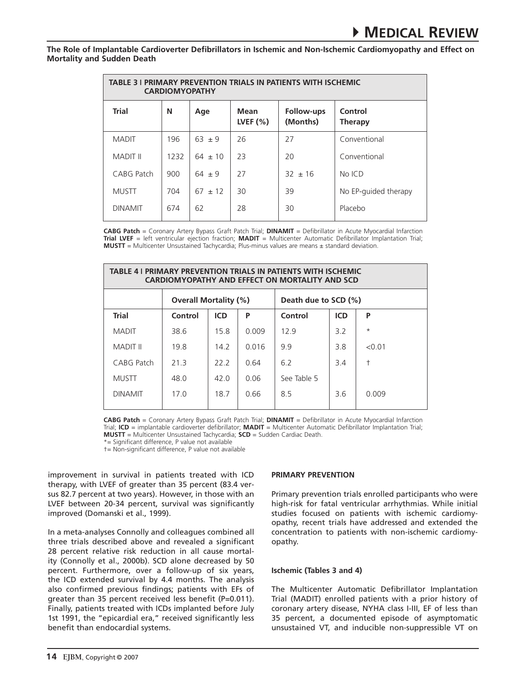| <b>TABLE 3 I PRIMARY PREVENTION TRIALS IN PATIENTS WITH ISCHEMIC</b><br><b>CARDIOMYOPATHY</b> |      |             |                    |                        |                           |  |  |  |
|-----------------------------------------------------------------------------------------------|------|-------------|--------------------|------------------------|---------------------------|--|--|--|
| <b>Trial</b>                                                                                  | N    | Age         | Mean<br>LVEF $(%)$ | Follow-ups<br>(Months) | Control<br><b>Therapy</b> |  |  |  |
| <b>MADIT</b>                                                                                  | 196  | $63 \pm 9$  | 26                 | 27                     | Conventional              |  |  |  |
| <b>MADIT II</b>                                                                               | 1232 | $64 \pm 10$ | 23                 | 20                     | Conventional              |  |  |  |
| CABG Patch                                                                                    | 900  | $64 \pm 9$  | 27                 | $32 + 16$              | No ICD                    |  |  |  |
| <b>MUSTT</b>                                                                                  | 704  | $67 + 12$   | 30                 | 39                     | No EP-guided therapy      |  |  |  |
| <b>DINAMIT</b>                                                                                | 674  | 62          | 28                 | 30                     | Placebo                   |  |  |  |

**CABG Patch** = Coronary Artery Bypass Graft Patch Trial; **DINAMIT** = Defibrillator in Acute Myocardial Infarction **Trial LVEF** = left ventricular ejection fraction; **MADIT** = Multicenter Automatic Defibrillator Implantation Trial; **MUSTT** = Multicenter Unsustained Tachycardia; Plus-minus values are means ± standard deviation.

| <b>TABLE 4 I PRIMARY PREVENTION TRIALS IN PATIENTS WITH ISCHEMIC</b><br><b>CARDIOMYOPATHY AND EFFECT ON MORTALITY AND SCD</b> |                              |            |       |                      |            |               |  |  |
|-------------------------------------------------------------------------------------------------------------------------------|------------------------------|------------|-------|----------------------|------------|---------------|--|--|
|                                                                                                                               | <b>Overall Mortality (%)</b> |            |       | Death due to SCD (%) |            |               |  |  |
| <b>Trial</b>                                                                                                                  | Control                      | <b>ICD</b> | P     | Control              | <b>ICD</b> | P             |  |  |
| <b>MADIT</b>                                                                                                                  | 38.6                         | 15.8       | 0.009 | 129                  | 3.2        | $\star$       |  |  |
| <b>MADIT II</b>                                                                                                               | 19.8                         | 14.2       | 0.016 | 9.9                  | 3.8        | < 0.01        |  |  |
| CABG Patch                                                                                                                    | 213                          | 222        | 0.64  | 6.2                  | 3.4        | $^\mathrm{+}$ |  |  |
| <b>MUSTT</b>                                                                                                                  | 48.0                         | 42.0       | 0.06  | See Table 5          |            |               |  |  |
| <b>DINAMIT</b>                                                                                                                | 170                          | 187        | 0.66  | 8.5                  | 36         | 0.009         |  |  |

**CABG Patch** = Coronary Artery Bypass Graft Patch Trial; **DINAMIT** = Defibrillator in Acute Myocardial Infarction Trial; **ICD** = implantable cardioverter defibrillator; **MADIT** = Multicenter Automatic Defibrillator Implantation Trial; **MUSTT** = Multicenter Unsustained Tachycardia; **SCD** = Sudden Cardiac Death.

\*= Significant difference, P value not available

†= Non-significant difference, P value not available

improvement in survival in patients treated with ICD therapy, with LVEF of greater than 35 percent (83.4 versus 82.7 percent at two years). However, in those with an LVEF between 20-34 percent, survival was significantly improved (Domanski et al., 1999).

In a meta-analyses Connolly and colleagues combined all three trials described above and revealed a significant 28 percent relative risk reduction in all cause mortality (Connolly et al., 2000b). SCD alone decreased by 50 percent. Furthermore, over a follow-up of six years, the ICD extended survival by 4.4 months. The analysis also confirmed previous findings; patients with EFs of greater than 35 percent received less benefit (P=0.011). Finally, patients treated with ICDs implanted before July 1st 1991, the "epicardial era," received significantly less benefit than endocardial systems.

#### **Primary Prevention**

Primary prevention trials enrolled participants who were high-risk for fatal ventricular arrhythmias. While initial studies focused on patients with ischemic cardiomyopathy, recent trials have addressed and extended the concentration to patients with non-ischemic cardiomyopathy.

#### **Ischemic (Tables 3 and 4)**

The Multicenter Automatic Defibrillator Implantation Trial (MADIT) enrolled patients with a prior history of coronary artery disease, NYHA class I-III, EF of less than 35 percent, a documented episode of asymptomatic unsustained VT, and inducible non-suppressible VT on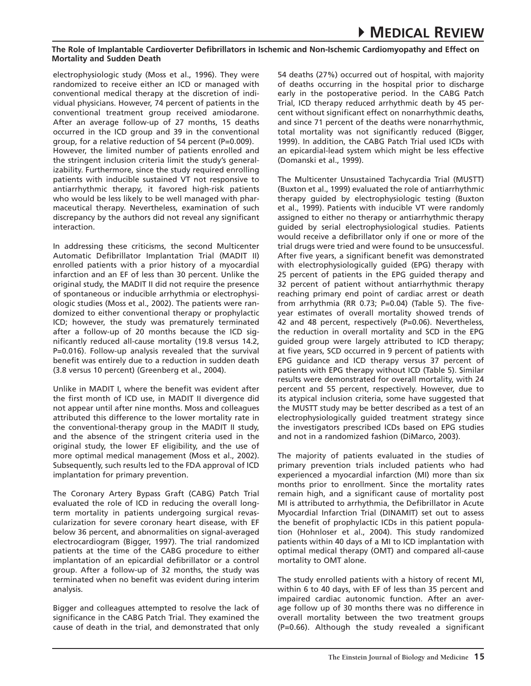electrophysiologic study (Moss et al., 1996). They were randomized to receive either an ICD or managed with conventional medical therapy at the discretion of individual physicians. However, 74 percent of patients in the conventional treatment group received amiodarone. After an average follow-up of 27 months, 15 deaths occurred in the ICD group and 39 in the conventional group, for a relative reduction of 54 percent (P=0.009). However, the limited number of patients enrolled and the stringent inclusion criteria limit the study's generalizability. Furthermore, since the study required enrolling patients with inducible sustained VT not responsive to antiarrhythmic therapy, it favored high-risk patients who would be less likely to be well managed with pharmaceutical therapy. Nevertheless, examination of such discrepancy by the authors did not reveal any significant interaction.

In addressing these criticisms, the second Multicenter Automatic Defibrillator Implantation Trial (MADIT II) enrolled patients with a prior history of a myocardial infarction and an EF of less than 30 percent. Unlike the original study, the MADIT II did not require the presence of spontaneous or inducible arrhythmia or electrophysiologic studies (Moss et al., 2002). The patients were randomized to either conventional therapy or prophylactic ICD; however, the study was prematurely terminated after a follow-up of 20 months because the ICD significantly reduced all-cause mortality (19.8 versus 14.2, P=0.016). Follow-up analysis revealed that the survival benefit was entirely due to a reduction in sudden death (3.8 versus 10 percent) (Greenberg et al., 2004).

Unlike in MADIT I, where the benefit was evident after the first month of ICD use, in MADIT II divergence did not appear until after nine months. Moss and colleagues attributed this difference to the lower mortality rate in the conventional-therapy group in the MADIT II study, and the absence of the stringent criteria used in the original study, the lower EF eligibility, and the use of more optimal medical management (Moss et al., 2002). Subsequently, such results led to the FDA approval of ICD implantation for primary prevention.

The Coronary Artery Bypass Graft (CABG) Patch Trial evaluated the role of ICD in reducing the overall longterm mortality in patients undergoing surgical revascularization for severe coronary heart disease, with EF below 36 percent, and abnormalities on signal-averaged electrocardiogram (Bigger, 1997). The trial randomized patients at the time of the CABG procedure to either implantation of an epicardial defibrillator or a control group. After a follow-up of 32 months, the study was terminated when no benefit was evident during interim analysis.

Bigger and colleagues attempted to resolve the lack of significance in the CABG Patch Trial. They examined the cause of death in the trial, and demonstrated that only 54 deaths (27%) occurred out of hospital, with majority of deaths occurring in the hospital prior to discharge early in the postoperative period. In the CABG Patch Trial, ICD therapy reduced arrhythmic death by 45 percent without significant effect on nonarrhythmic deaths, and since 71 percent of the deaths were nonarrhythmic, total mortality was not significantly reduced (Bigger, 1999). In addition, the CABG Patch Trial used ICDs with an epicardial-lead system which might be less effective (Domanski et al., 1999).

The Multicenter Unsustained Tachycardia Trial (MUSTT) (Buxton et al., 1999) evaluated the role of antiarrhythmic therapy guided by electrophysiologic testing (Buxton et al., 1999). Patients with inducible VT were randomly assigned to either no therapy or antiarrhythmic therapy guided by serial electrophysiological studies. Patients would receive a defibrillator only if one or more of the trial drugs were tried and were found to be unsuccessful. After five years, a significant benefit was demonstrated with electrophysiologically guided (EPG) therapy with 25 percent of patients in the EPG guided therapy and 32 percent of patient without antiarrhythmic therapy reaching primary end point of cardiac arrest or death from arrhythmia (RR 0.73; P=0.04) (Table 5). The fiveyear estimates of overall mortality showed trends of 42 and 48 percent, respectively (P=0.06). Nevertheless, the reduction in overall mortality and SCD in the EPG guided group were largely attributed to ICD therapy; at five years, SCD occurred in 9 percent of patients with EPG guidance and ICD therapy versus 37 percent of patients with EPG therapy without ICD (Table 5). Similar results were demonstrated for overall mortality, with 24 percent and 55 percent, respectively. However, due to its atypical inclusion criteria, some have suggested that the MUSTT study may be better described as a test of an electrophysiologically guided treatment strategy since the investigators prescribed ICDs based on EPG studies and not in a randomized fashion (DiMarco, 2003).

The majority of patients evaluated in the studies of primary prevention trials included patients who had experienced a myocardial infarction (MI) more than six months prior to enrollment. Since the mortality rates remain high, and a significant cause of mortality post MI is attributed to arrhythmia, the Defibrillator in Acute Myocardial Infarction Trial (DINAMIT) set out to assess the benefit of prophylactic ICDs in this patient population (Hohnloser et al., 2004). This study randomized patients within 40 days of a MI to ICD implantation with optimal medical therapy (OMT) and compared all-cause mortality to OMT alone.

The study enrolled patients with a history of recent MI, within 6 to 40 days, with EF of less than 35 percent and impaired cardiac autonomic function. After an average follow up of 30 months there was no difference in overall mortality between the two treatment groups (P=0.66). Although the study revealed a significant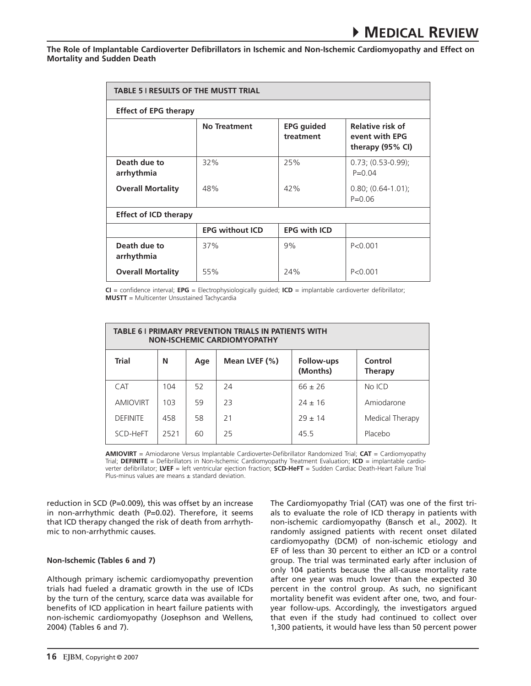| <b>TABLE 5   RESULTS OF THE MUSTT TRIAL</b> |                                                                                                                            |     |                                    |  |  |  |  |  |
|---------------------------------------------|----------------------------------------------------------------------------------------------------------------------------|-----|------------------------------------|--|--|--|--|--|
| <b>Effect of EPG therapy</b>                |                                                                                                                            |     |                                    |  |  |  |  |  |
|                                             | Relative risk of<br><b>No Treatment</b><br><b>EPG</b> guided<br>event with EPG<br>treatment<br>therapy $(95\% \text{ Cl})$ |     |                                    |  |  |  |  |  |
| Death due to<br>arrhythmia                  | 32%                                                                                                                        | 25% | $0.73; (0.53-0.99);$<br>$P = 0.04$ |  |  |  |  |  |
| <b>Overall Mortality</b>                    | 48%                                                                                                                        | 42% | $0.80; (0.64-1.01);$<br>$P = 0.06$ |  |  |  |  |  |
| <b>Effect of ICD therapy</b>                |                                                                                                                            |     |                                    |  |  |  |  |  |
|                                             | <b>EPG with ICD</b><br><b>EPG without ICD</b>                                                                              |     |                                    |  |  |  |  |  |
| Death due to<br>arrhythmia                  | 37%                                                                                                                        | 9%  | P < 0.001                          |  |  |  |  |  |
| <b>Overall Mortality</b>                    | 55%                                                                                                                        | 24% | P < 0.001                          |  |  |  |  |  |

**CI** = confidence interval; **EPG** = Electrophysiologically guided; **ICD** = implantable cardioverter defibrillator; **MUSTT** = Multicenter Unsustained Tachycardia

| <b>TABLE 6 I PRIMARY PREVENTION TRIALS IN PATIENTS WITH</b><br><b>NON-ISCHEMIC CARDIOMYOPATHY</b> |      |     |               |                        |                           |  |  |
|---------------------------------------------------------------------------------------------------|------|-----|---------------|------------------------|---------------------------|--|--|
| <b>Trial</b>                                                                                      | N    | Age | Mean LVEF (%) | Follow-ups<br>(Months) | Control<br><b>Therapy</b> |  |  |
| <b>CAT</b>                                                                                        | 104  | 52  | 24            | $66 \pm 26$            | No ICD                    |  |  |
| <b>AMIOVIRT</b>                                                                                   | 103  | 59  | 73            | $74 + 16$              | Amiodarone                |  |  |
| <b>DEFINITE</b>                                                                                   | 458  | 58  | 21            | $79 + 14$              | Medical Therapy           |  |  |
| SCD-HeFT                                                                                          | 2521 | 60  | 25            | 45.5                   | Placebo                   |  |  |

**AMIOVIRT** = Amiodarone Versus Implantable Cardioverter-Defibrillator Randomized Trial; **CAT** = Cardiomyopathy Trial; **DEFINITE** = Defibrillators in Non-Ischemic Cardiomyopathy Treatment Evaluation; **ICD** = implantable cardioverter defibrillator; **LVEF** = left ventricular ejection fraction; **SCD-HeFT** = Sudden Cardiac Death-Heart Failure Trial Plus-minus values are means  $\pm$  standard deviation.

reduction in SCD (P=0.009), this was offset by an increase in non-arrhythmic death (P=0.02). Therefore, it seems that ICD therapy changed the risk of death from arrhythmic to non-arrhythmic causes.

# **Non-Ischemic (Tables 6 and 7)**

Although primary ischemic cardiomyopathy prevention trials had fueled a dramatic growth in the use of ICDs by the turn of the century, scarce data was available for benefits of ICD application in heart failure patients with non-ischemic cardiomyopathy (Josephson and Wellens, 2004) (Tables 6 and 7).

The Cardiomyopathy Trial (CAT) was one of the first trials to evaluate the role of ICD therapy in patients with non-ischemic cardiomyopathy (Bansch et al., 2002). It randomly assigned patients with recent onset dilated cardiomyopathy (DCM) of non-ischemic etiology and EF of less than 30 percent to either an ICD or a control group. The trial was terminated early after inclusion of only 104 patients because the all-cause mortality rate after one year was much lower than the expected 30 percent in the control group. As such, no significant mortality benefit was evident after one, two, and fouryear follow-ups. Accordingly, the investigators argued that even if the study had continued to collect over 1,300 patients, it would have less than 50 percent power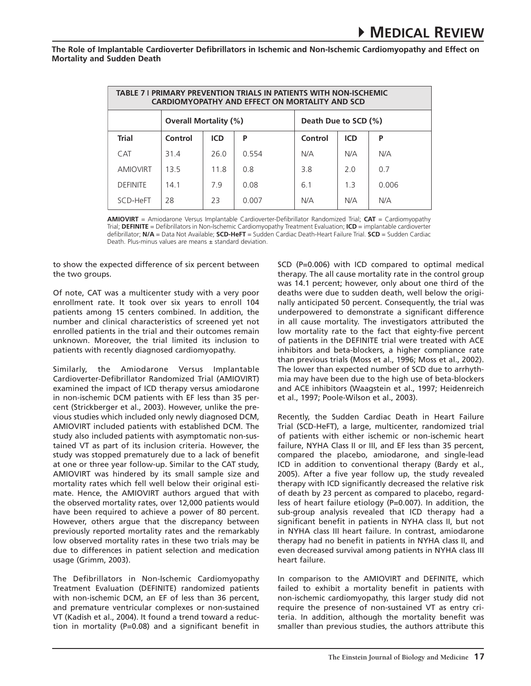| <b>TABLE 7 I PRIMARY PREVENTION TRIALS IN PATIENTS WITH NON-ISCHEMIC</b><br><b>CARDIOMYOPATHY AND EFFECT ON MORTALITY AND SCD</b> |                              |            |       |                      |                |       |  |  |
|-----------------------------------------------------------------------------------------------------------------------------------|------------------------------|------------|-------|----------------------|----------------|-------|--|--|
|                                                                                                                                   | <b>Overall Mortality (%)</b> |            |       | Death Due to SCD (%) |                |       |  |  |
| <b>Trial</b>                                                                                                                      | Control                      | <b>ICD</b> | P     | Control              | <b>ICD</b>     | P     |  |  |
| <b>CAT</b>                                                                                                                        | 314                          | 26.0       | 0.554 | N/A                  | N/A            | N/A   |  |  |
| <b>AMIOVIRT</b>                                                                                                                   | 135                          | 11.8       | 0.8   | 38                   | 20             | 07    |  |  |
| <b>DEFINITE</b>                                                                                                                   | 14 1                         | 79         | 0.08  | 61                   | 1 <sup>3</sup> | 0.006 |  |  |
| SCD-HeFT                                                                                                                          | 28                           | 23         | 0.007 | N/A                  | N/A            | N/A   |  |  |

**AMIOVIRT** = Amiodarone Versus Implantable Cardioverter-Defibrillator Randomized Trial; **CAT** = Cardiomyopathy Trial; **DEFINITE** = Defibrillators in Non-Ischemic Cardiomyopathy Treatment Evaluation; **ICD** = implantable cardioverter defibrillator; **N/A** = Data Not Available; **SCD-HeFT** = Sudden Cardiac Death-Heart Failure Trial. **SCD** = Sudden Cardiac Death. Plus-minus values are means ± standard deviation.

to show the expected difference of six percent between the two groups.

Of note, CAT was a multicenter study with a very poor enrollment rate. It took over six years to enroll 104 patients among 15 centers combined. In addition, the number and clinical characteristics of screened yet not enrolled patients in the trial and their outcomes remain unknown. Moreover, the trial limited its inclusion to patients with recently diagnosed cardiomyopathy.

Similarly, the Amiodarone Versus Implantable Cardioverter-Defibrillator Randomized Trial (AMIOVIRT) examined the impact of ICD therapy versus amiodarone in non-ischemic DCM patients with EF less than 35 percent (Strickberger et al., 2003). However, unlike the previous studies which included only newly diagnosed DCM, AMIOVIRT included patients with established DCM. The study also included patients with asymptomatic non-sustained VT as part of its inclusion criteria. However, the study was stopped prematurely due to a lack of benefit at one or three year follow-up. Similar to the CAT study, AMIOVIRT was hindered by its small sample size and mortality rates which fell well below their original estimate. Hence, the AMIOVIRT authors argued that with the observed mortality rates, over 12,000 patients would have been required to achieve a power of 80 percent. However, others argue that the discrepancy between previously reported mortality rates and the remarkably low observed mortality rates in these two trials may be due to differences in patient selection and medication usage (Grimm, 2003).

The Defibrillators in Non-Ischemic Cardiomyopathy Treatment Evaluation (DEFINITE) randomized patients with non-ischemic DCM, an EF of less than 36 percent, and premature ventricular complexes or non-sustained VT (Kadish et al., 2004). It found a trend toward a reduction in mortality (P=0.08) and a significant benefit in SCD (P=0.006) with ICD compared to optimal medical therapy. The all cause mortality rate in the control group was 14.1 percent; however, only about one third of the deaths were due to sudden death, well below the originally anticipated 50 percent. Consequently, the trial was underpowered to demonstrate a significant difference in all cause mortality. The investigators attributed the low mortality rate to the fact that eighty-five percent of patients in the DEFINITE trial were treated with ACE inhibitors and beta-blockers, a higher compliance rate than previous trials (Moss et al., 1996; Moss et al., 2002). The lower than expected number of SCD due to arrhythmia may have been due to the high use of beta-blockers and ACE inhibitors (Waagstein et al., 1997; Heidenreich et al., 1997; Poole-Wilson et al., 2003).

Recently, the Sudden Cardiac Death in Heart Failure Trial (SCD-HeFT), a large, multicenter, randomized trial of patients with either ischemic or non-ischemic heart failure, NYHA Class II or III, and EF less than 35 percent, compared the placebo, amiodarone, and single-lead ICD in addition to conventional therapy (Bardy et al., 2005). After a five year follow up, the study revealed therapy with ICD significantly decreased the relative risk of death by 23 percent as compared to placebo, regardless of heart failure etiology (P=0.007). In addition, the sub-group analysis revealed that ICD therapy had a significant benefit in patients in NYHA class II, but not in NYHA class III heart failure. In contrast, amiodarone therapy had no benefit in patients in NYHA class II, and even decreased survival among patients in NYHA class III heart failure.

In comparison to the AMIOVIRT and DEFINITE, which failed to exhibit a mortality benefit in patients with non-ischemic cardiomyopathy, this larger study did not require the presence of non-sustained VT as entry criteria. In addition, although the mortality benefit was smaller than previous studies, the authors attribute this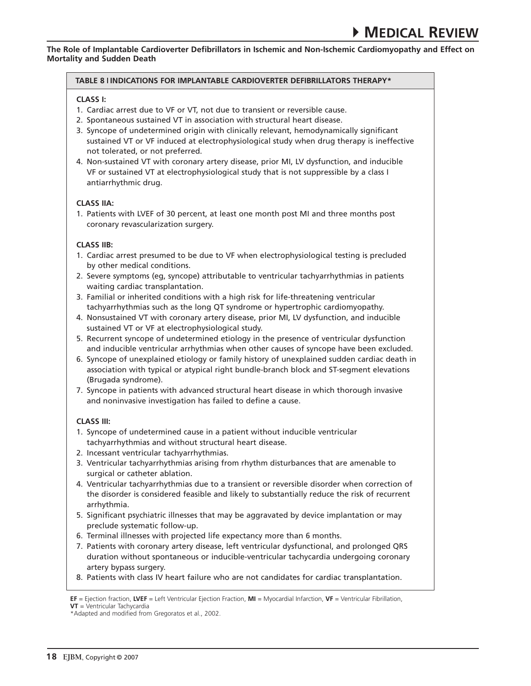## **Table 8 Indications for Implantable Cardioverter Defibrillators therapy\***

## **Class I:**

- 1. Cardiac arrest due to VF or VT, not due to transient or reversible cause.
- 2. Spontaneous sustained VT in association with structural heart disease.
- 3. Syncope of undetermined origin with clinically relevant, hemodynamically significant sustained VT or VF induced at electrophysiological study when drug therapy is ineffective not tolerated, or not preferred.
- 4. Non-sustained VT with coronary artery disease, prior MI, LV dysfunction, and inducible VF or sustained VT at electrophysiological study that is not suppressible by a class I antiarrhythmic drug.

## **Class IIa:**

1. Patients with LVEF of 30 percent, at least one month post MI and three months post coronary revascularization surgery.

## **Class IIb:**

- 1. Cardiac arrest presumed to be due to VF when electrophysiological testing is precluded by other medical conditions.
- 2. Severe symptoms (eg, syncope) attributable to ventricular tachyarrhythmias in patients waiting cardiac transplantation.
- 3. Familial or inherited conditions with a high risk for life-threatening ventricular tachyarrhythmias such as the long QT syndrome or hypertrophic cardiomyopathy.
- 4. Nonsustained VT with coronary artery disease, prior MI, LV dysfunction, and inducible sustained VT or VF at electrophysiological study.
- 5. Recurrent syncope of undetermined etiology in the presence of ventricular dysfunction and inducible ventricular arrhythmias when other causes of syncope have been excluded.
- 6. Syncope of unexplained etiology or family history of unexplained sudden cardiac death in association with typical or atypical right bundle-branch block and ST-segment elevations (Brugada syndrome).
- 7. Syncope in patients with advanced structural heart disease in which thorough invasive and noninvasive investigation has failed to define a cause.

# **Class III:**

- 1. Syncope of undetermined cause in a patient without inducible ventricular tachyarrhythmias and without structural heart disease.
- 2. Incessant ventricular tachyarrhythmias.
- 3. Ventricular tachyarrhythmias arising from rhythm disturbances that are amenable to surgical or catheter ablation.
- 4. Ventricular tachyarrhythmias due to a transient or reversible disorder when correction of the disorder is considered feasible and likely to substantially reduce the risk of recurrent arrhythmia.
- 5. Significant psychiatric illnesses that may be aggravated by device implantation or may preclude systematic follow-up.
- 6. Terminal illnesses with projected life expectancy more than 6 months.
- 7. Patients with coronary artery disease, left ventricular dysfunctional, and prolonged QRS duration without spontaneous or inducible-ventricular tachycardia undergoing coronary artery bypass surgery.
- 8. Patients with class IV heart failure who are not candidates for cardiac transplantation.

**EF** = Ejection fraction, **LVEF** = Left Ventricular Ejection Fraction, **MI** = Myocardial Infarction, **VF** = Ventricular Fibrillation, **VT** = Ventricular Tachycardia

<sup>\*</sup>Adapted and modified from Gregoratos et al., 2002.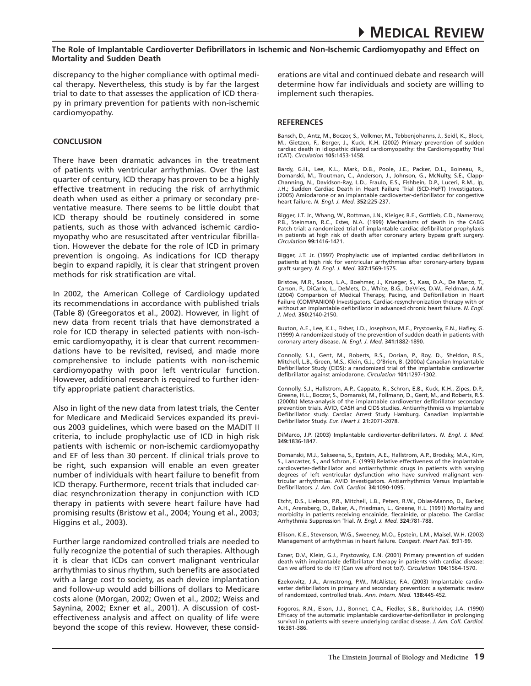discrepancy to the higher compliance with optimal medical therapy. Nevertheless, this study is by far the largest trial to date to that assesses the application of ICD therapy in primary prevention for patients with non-ischemic cardiomyopathy.

#### **Conclusion**

There have been dramatic advances in the treatment of patients with ventricular arrhythmias. Over the last quarter of century, ICD therapy has proven to be a highly effective treatment in reducing the risk of arrhythmic death when used as either a primary or secondary preventative measure. There seems to be little doubt that ICD therapy should be routinely considered in some patients, such as those with advanced ischemic cardiomyopathy who are resuscitated after ventricular fibrillation. However the debate for the role of ICD in primary prevention is ongoing. As indications for ICD therapy begin to expand rapidly, it is clear that stringent proven methods for risk stratification are vital.

In 2002, the American College of Cardiology updated its recommendations in accordance with published trials (Table 8) (Greegoratos et al., 2002). However, in light of new data from recent trials that have demonstrated a role for ICD therapy in selected patients with non-ischemic cardiomyopathy, it is clear that current recommendations have to be revisited, revised, and made more comprehensive to include patients with non-ischemic cardiomyopathy with poor left ventricular function. However, additional research is required to further identify appropriate patient characteristics.

Also in light of the new data from latest trials, the Center for Medicare and Medicaid Services expanded its previous 2003 guidelines, which were based on the MADIT II criteria, to include prophylactic use of ICD in high risk patients with ischemic or non-ischemic cardiomyopathy and EF of less than 30 percent. If clinical trials prove to be right, such expansion will enable an even greater number of individuals with heart failure to benefit from ICD therapy. Furthermore, recent trials that included cardiac resynchronization therapy in conjunction with ICD therapy in patients with severe heart failure have had promising results (Bristow et al., 2004; Young et al., 2003; Higgins et al., 2003).

Further large randomized controlled trials are needed to fully recognize the potential of such therapies. Although it is clear that ICDs can convert malignant ventricular arrhythmias to sinus rhythm, such benefits are associated with a large cost to society, as each device implantation and follow-up would add billions of dollars to Medicare costs alone (Morgan, 2002; Owen et al., 2002; Weiss and Saynina, 2002; Exner et al., 2001). A discussion of costeffectiveness analysis and affect on quality of life were beyond the scope of this review. However, these considerations are vital and continued debate and research will determine how far individuals and society are willing to implement such therapies.

#### **REFERENCES**

Bansch, D., Antz, M., Boczor, S., Volkmer, M., Tebbenjohanns, J., Seidl, K., Block, M., Gietzen, F., Berger, J., Kuck, K.H. (2002) Primary prevention of sudden cardiac death in idiopathic dilated cardiomyopathy: the Cardiomyopathy Trial (CAT). *Circulation* **105:**1453-1458.

Bardy, G.H., Lee, K.L., Mark, D.B., Poole, J.E., Packer, D.L., Boineau, R., Domanski, M., Troutman, C., Anderson, J., Johnson, G., McNulty, S.E., Clapp-Channing, N., Davidson-Ray, L.D., Fraulo, E.S., Fishbein, D.P., Luceri, R.M., Ip, J.H.; Sudden Cardiac Death in Heart Failure Trial (SCD-HeFT) Investigators. (2005) Amiodarone or an implantable cardioverter-defibrillator for congestive heart failure. *N. Engl. J. Med.* **352:**225-237.

Bigger, J.T. Jr., Whang, W., Rottman, J.N., Kleiger, R.E., Gottlieb, C.D., Namerow, P.B., Steinman, R.C., Estes, N.A. (1999) Mechanisms of death in the CABG Patch trial: a randomized trial of implantable cardiac defibrillator prophylaxis in patients at high risk of death after coronary artery bypass graft surgery. *Circulation* **99:**1416-1421.

Bigger, J.T. Jr. (1997) Prophylactic use of implanted cardiac defibrillators in patients at high risk for ventricular arrhythmias after coronary-artery bypass graft surgery. *N. Engl. J. Med.* **337:**1569-1575.

Bristow, M.R., Saxon, L.A., Boehmer, J., Krueger, S., Kass, D.A., De Marco, T., Carson, P., DiCarlo, L., DeMets, D., White, B.G., DeVries, D.W., Feldman, A.M. (2004) Comparison of Medical Therapy, Pacing, and Defibrillation in Heart Failure (COMPANION) Investigators. Cardiac-resynchronization therapy with or without an implantable defibrillator in advanced chronic heart failure. *N. Engl. J. Med.* **350:**2140-2150.

Buxton, A.E., Lee, K.L., Fisher, J.D., Josephson, M.E., Prystowsky, E.N., Hafley, G. (1999) A randomized study of the prevention of sudden death in patients with coronary artery disease. *N. Engl. J. Med.* **341:**1882-1890.

Connolly, S.J., Gent, M., Roberts, R.S., Dorian, P., Roy, D., Sheldon, R.S.,<br>Mitchell, L.B., Green, M.S., Klein, G.J., O'Brien, B. (2000a) Canadian Implantable<br>Defibrillator Study (CIDS): a randomized trial of the implanta defibrillator against amiodarone. *Circulation* **101:**1297-1302.

Connolly, S.J., Hallstrom, A.P., Cappato, R., Schron, E.B., Kuck, K.H., Zipes, D.P., Greene, H.L., Boczor, S., Domanski, M., Follmann, D., Gent, M., and Roberts, R.S. (2000b) Meta-analysis of the implantable cardioverter defibrillator secondary prevention trials. AVID, CASH and CIDS studies. Antiarrhythmics vs Implantable Defibrillator study. Cardiac Arrest Study Hamburg. Canadian Implantable Defibrillator Study. *Eur. Heart J.* **21:**2071-2078.

DiMarco, J.P. (2003) Implantable cardioverter-defibrillators. *N. Engl. J. Med.*  **349:**1836-1847.

Domanski, M.J., Sakseena, S., Epstein, A.E., Hallstrom, A.P., Brodsky, M.A., Kim, S., Lancaster, S., and Schron, E. (1999) Relative effectiveness of the implantable cardioverter-defibrillator and antiarrhythmic drugs in patients with varying degrees of left ventricular dysfunction who have survived malignant ventricular arrhythmias. AVID Investigators. Antiarrhythmics Versus Implantable Defibrillators. *J. Am. Coll. Cardiol.* **34:**1090-1095.

Etcht, D.S., Liebson, P.R., Mitchell, L.B., Peters, R.W., Obias-Manno, D., Barker, A.H., Arensberg, D., Baker, A., Friedman, L., Greene, H.L. (1991) Mortality and morbidity in patients receiving encainide, flecainide, or placebo. The Cardiac Arrhythmia Suppression Trial. *N. Engl. J. Med.* **324:**781-788.

Ellison, K.E., Stevenson, W.G., Sweeney, M.O., Epstein, L.M., Maisel, W.H. (2003) Management of arrhythmias in heart failure. *Congest. Heart Fail.* **9:**91-99.

Exner, D.V., Klein, G.J., Prystowsky, E.N. (2001) Primary prevention of sudden death with implantable defibrillator therapy in patients with cardiac disease: Can we afford to do it? (Can we afford not to?). *Circulation* **104:**1564-1570.

Ezekowitz, J.A., Armstrong, P.W., McAlister, F.A. (2003) Implantable cardioverter defibrillators in primary and secondary prevention: a systematic review of randomized, controlled trials. *Ann. Intern. Med.* **138:**445-452.

Fogoros, R.N., Elson, J.J., Bonnet, C.A., Fiedler, S.B., Burkholder, J.A. (1990) Efficacy of the automatic implantable cardioverter-defibrillator in prolonging survival in patients with severe underlying cardiac disease. *J. Am. Coll. Cardiol.*  **16:**381-386.